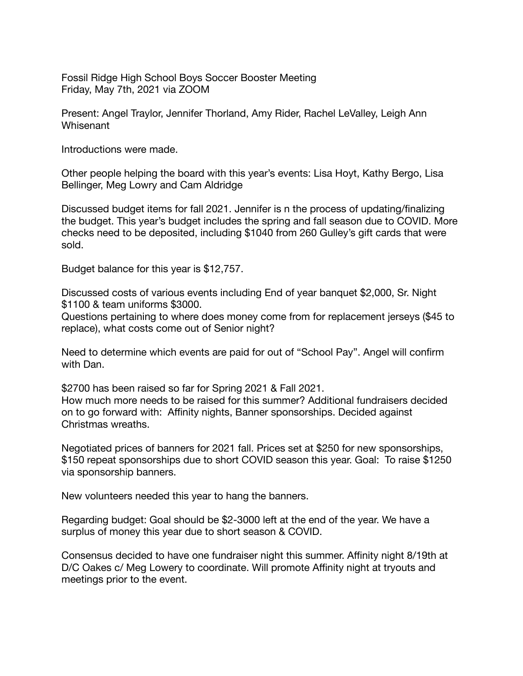Fossil Ridge High School Boys Soccer Booster Meeting Friday, May 7th, 2021 via ZOOM

Present: Angel Traylor, Jennifer Thorland, Amy Rider, Rachel LeValley, Leigh Ann Whisenant

Introductions were made.

Other people helping the board with this year's events: Lisa Hoyt, Kathy Bergo, Lisa Bellinger, Meg Lowry and Cam Aldridge

Discussed budget items for fall 2021. Jennifer is n the process of updating/finalizing the budget. This year's budget includes the spring and fall season due to COVID. More checks need to be deposited, including \$1040 from 260 Gulley's gift cards that were sold.

Budget balance for this year is \$12,757.

Discussed costs of various events including End of year banquet \$2,000, Sr. Night \$1100 & team uniforms \$3000.

Questions pertaining to where does money come from for replacement jerseys (\$45 to replace), what costs come out of Senior night?

Need to determine which events are paid for out of "School Pay". Angel will confirm with Dan.

\$2700 has been raised so far for Spring 2021 & Fall 2021. How much more needs to be raised for this summer? Additional fundraisers decided on to go forward with: Affinity nights, Banner sponsorships. Decided against Christmas wreaths.

Negotiated prices of banners for 2021 fall. Prices set at \$250 for new sponsorships, \$150 repeat sponsorships due to short COVID season this year. Goal: To raise \$1250 via sponsorship banners.

New volunteers needed this year to hang the banners.

Regarding budget: Goal should be \$2-3000 left at the end of the year. We have a surplus of money this year due to short season & COVID.

Consensus decided to have one fundraiser night this summer. Affinity night 8/19th at D/C Oakes c/ Meg Lowery to coordinate. Will promote Affinity night at tryouts and meetings prior to the event.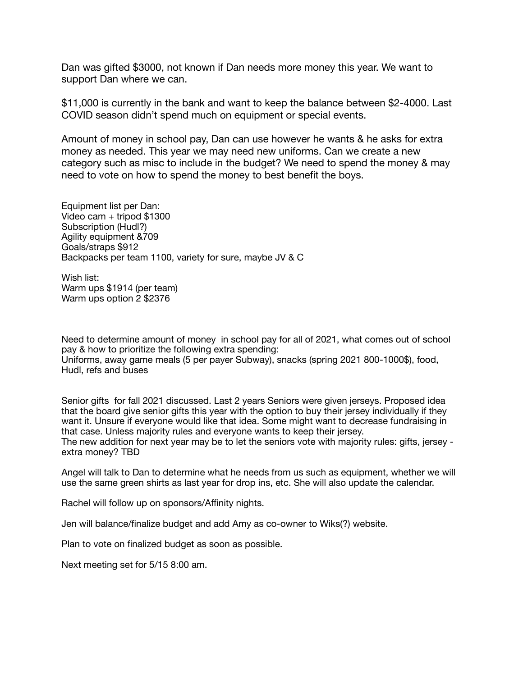Dan was gifted \$3000, not known if Dan needs more money this year. We want to support Dan where we can.

\$11,000 is currently in the bank and want to keep the balance between \$2-4000. Last COVID season didn't spend much on equipment or special events.

Amount of money in school pay, Dan can use however he wants & he asks for extra money as needed. This year we may need new uniforms. Can we create a new category such as misc to include in the budget? We need to spend the money & may need to vote on how to spend the money to best benefit the boys.

Equipment list per Dan: Video cam + tripod \$1300 Subscription (Hudl?) Agility equipment &709 Goals/straps \$912 Backpacks per team 1100, variety for sure, maybe JV & C

Wish list: Warm ups \$1914 (per team) Warm ups option 2 \$2376

Need to determine amount of money in school pay for all of 2021, what comes out of school pay & how to prioritize the following extra spending: Uniforms, away game meals (5 per payer Subway), snacks (spring 2021 800-1000\$), food, Hudl, refs and buses

Senior gifts for fall 2021 discussed. Last 2 years Seniors were given jerseys. Proposed idea that the board give senior gifts this year with the option to buy their jersey individually if they want it. Unsure if everyone would like that idea. Some might want to decrease fundraising in that case. Unless majority rules and everyone wants to keep their jersey. The new addition for next year may be to let the seniors vote with majority rules: gifts, jersey extra money? TBD

Angel will talk to Dan to determine what he needs from us such as equipment, whether we will use the same green shirts as last year for drop ins, etc. She will also update the calendar.

Rachel will follow up on sponsors/Affinity nights.

Jen will balance/finalize budget and add Amy as co-owner to Wiks(?) website.

Plan to vote on finalized budget as soon as possible.

Next meeting set for 5/15 8:00 am.